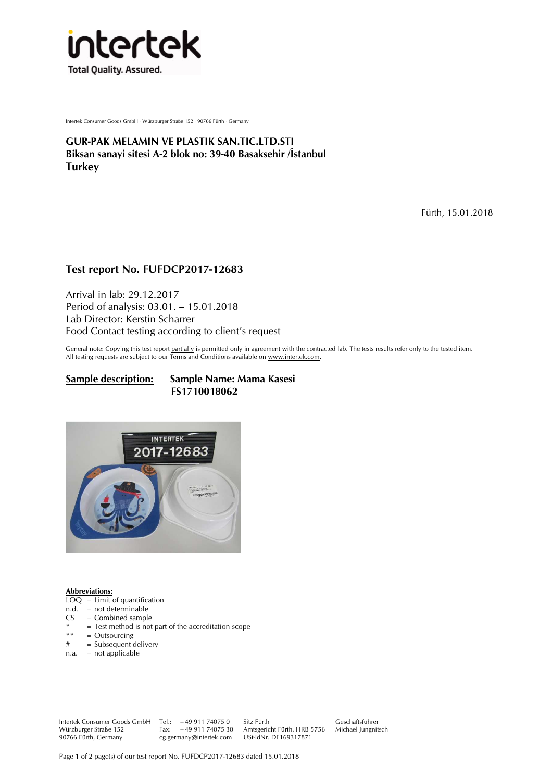

Intertek Consumer Goods GmbH · Würzburger Straße 152 · 90766 Fürth · Germany

**GUR-PAK MELAMIN VE PLASTIK SAN.TIC.LTD.STI Biksan sanayi sitesi A-2 blok no: 39-40 Basaksehir /İstanbul Turkey** 

Fürth, 15.01.2018

# **Test report No. FUFDCP2017-12683**

Arrival in lab: 29.12.2017 Period of analysis: 03.01. – 15.01.2018 Lab Director: Kerstin Scharrer Food Contact testing according to client's request

General note: Copying this test report partially is permitted only in agreement with the contracted lab. The tests results refer only to the tested item. All testing requests are subject to our Terms and Conditions available on www.intertek.com.

### **Sample description: Sample Name: Mama Kasesi FS1710018062**



### **Abbreviations:**

- $LOQ = Limit of quantification$
- n.d. = not determinable
- $CS = Combined sample$
- \* = Test method is not part of the accreditation scope<br>  $***$  = Outsourcing
- \*\* = Outsourcing<br> $\frac{4}{x}$  = Subsequent of
- = Subsequent delivery
- $n.a. = not applicable$

Intertek Consumer Goods GmbH Tel.: +49 911 74075 0 Sitz Fürth Geschäftsführer Würzburger Straße 152 Fax: +49 911 74075 30 Amtsgericht Fürth. HRB 5756 Michael Jungnitsch 90766 Fürth, Germany cg.germany@intertek.com USt-IdNr. DE169317871